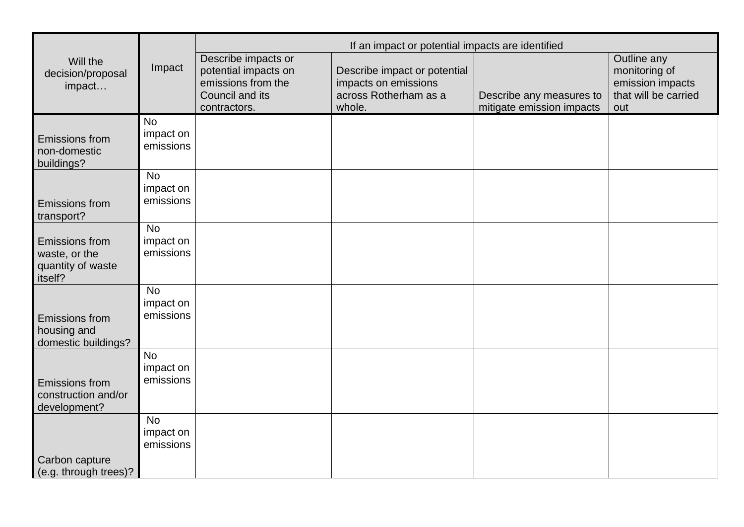|                                                                        | Impact                              | If an impact or potential impacts are identified                                                     |                                                                                         |                                                       |                                                                                 |
|------------------------------------------------------------------------|-------------------------------------|------------------------------------------------------------------------------------------------------|-----------------------------------------------------------------------------------------|-------------------------------------------------------|---------------------------------------------------------------------------------|
| Will the<br>decision/proposal<br>impact                                |                                     | Describe impacts or<br>potential impacts on<br>emissions from the<br>Council and its<br>contractors. | Describe impact or potential<br>impacts on emissions<br>across Rotherham as a<br>whole. | Describe any measures to<br>mitigate emission impacts | Outline any<br>monitoring of<br>emission impacts<br>that will be carried<br>out |
| <b>Emissions from</b><br>non-domestic<br>buildings?                    | <b>No</b><br>impact on<br>emissions |                                                                                                      |                                                                                         |                                                       |                                                                                 |
| <b>Emissions from</b><br>transport?                                    | <b>No</b><br>impact on<br>emissions |                                                                                                      |                                                                                         |                                                       |                                                                                 |
| <b>Emissions from</b><br>waste, or the<br>quantity of waste<br>itself? | <b>No</b><br>impact on<br>emissions |                                                                                                      |                                                                                         |                                                       |                                                                                 |
| <b>Emissions from</b><br>housing and<br>domestic buildings?            | <b>No</b><br>impact on<br>emissions |                                                                                                      |                                                                                         |                                                       |                                                                                 |
| <b>Emissions from</b><br>construction and/or<br>development?           | <b>No</b><br>impact on<br>emissions |                                                                                                      |                                                                                         |                                                       |                                                                                 |
| Carbon capture<br>(e.g. through trees)?                                | <b>No</b><br>impact on<br>emissions |                                                                                                      |                                                                                         |                                                       |                                                                                 |